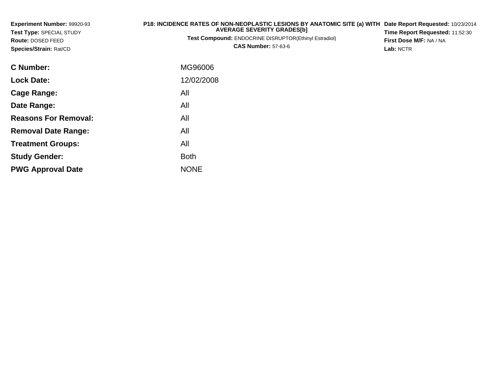| Experiment Number: 99920-93<br>Test Type: SPECIAL STUDY<br>Route: DOSED FEED<br>Species/Strain: Rat/CD | P18: INCIDENCE RATES OF NON-NEOPLASTIC LESIONS BY ANATOMIC SITE (a) WITH<br><b>AVERAGE SEVERITY GRADES[b]</b><br><b>Test Compound: ENDOCRINE DISRUPTOR(Ethinyl Estradiol)</b><br><b>CAS Number: 57-63-6</b> | Date Report Requested: 10/23/2014<br>Time Report Requested: 11:52:30<br>First Dose M/F: NA / NA<br>Lab: NCTR |
|--------------------------------------------------------------------------------------------------------|-------------------------------------------------------------------------------------------------------------------------------------------------------------------------------------------------------------|--------------------------------------------------------------------------------------------------------------|
| <b>C</b> Number:                                                                                       | MG96006                                                                                                                                                                                                     |                                                                                                              |
| <b>Lock Date:</b>                                                                                      | 12/02/2008                                                                                                                                                                                                  |                                                                                                              |
| <b>Cage Range:</b>                                                                                     | All                                                                                                                                                                                                         |                                                                                                              |
| Date Range:                                                                                            | All                                                                                                                                                                                                         |                                                                                                              |
| <b>Reasons For Removal:</b>                                                                            | All                                                                                                                                                                                                         |                                                                                                              |
| <b>Removal Date Range:</b>                                                                             | All                                                                                                                                                                                                         |                                                                                                              |

**Treatment Groups:**

**PWG Approval Date**

**Study Gender:**

All

e NONE

Both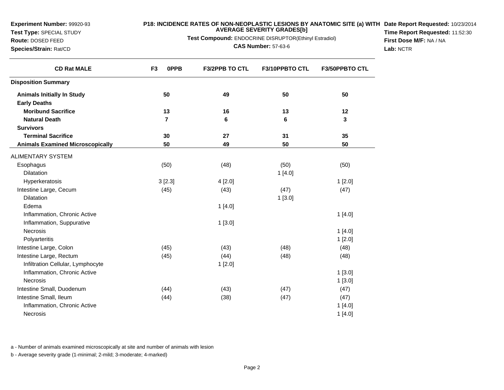**Test Type:** SPECIAL STUDY

# **Route:** DOSED FEED

**Species/Strain:** Rat/CD

# **P18: INCIDENCE RATES OF NON-NEOPLASTIC LESIONS BY ANATOMIC SITE (a) WITH AVERAGE SEVERITY GRADES[b] Date Report Requested:** 10/23/2014

**Test Compound:** ENDOCRINE DISRUPTOR(Ethinyl Estradiol)

**CAS Number:** 57-63-6

**Time Report Requested:** 11:52:30**First Dose M/F:** NA / NA**Lab:** NCTR

| <b>CD Rat MALE</b>                      | F <sub>3</sub><br>0PPB | <b>F3/2PPB TO CTL</b> | F3/10PPBTO CTL | <b>F3/50PPBTO CTL</b> |
|-----------------------------------------|------------------------|-----------------------|----------------|-----------------------|
| <b>Disposition Summary</b>              |                        |                       |                |                       |
| <b>Animals Initially In Study</b>       | 50                     | 49                    | 50             | 50                    |
| <b>Early Deaths</b>                     |                        |                       |                |                       |
| <b>Moribund Sacrifice</b>               | 13                     | 16                    | 13             | 12                    |
| <b>Natural Death</b>                    | 7                      | 6                     | 6              | 3                     |
| <b>Survivors</b>                        |                        |                       |                |                       |
| <b>Terminal Sacrifice</b>               | 30                     | 27                    | 31             | 35                    |
| <b>Animals Examined Microscopically</b> | 50                     | 49                    | 50             | 50                    |
| <b>ALIMENTARY SYSTEM</b>                |                        |                       |                |                       |
| Esophagus                               | (50)                   | (48)                  | (50)           | (50)                  |
| <b>Dilatation</b>                       |                        |                       | 1[4.0]         |                       |
| Hyperkeratosis                          | 3[2.3]                 | 4[2.0]                |                | 1[2.0]                |
| Intestine Large, Cecum                  | (45)                   | (43)                  | (47)           | (47)                  |
| <b>Dilatation</b>                       |                        |                       | 1[3.0]         |                       |
| Edema                                   |                        | 1[4.0]                |                |                       |
| Inflammation, Chronic Active            |                        |                       |                | 1[4.0]                |
| Inflammation, Suppurative               |                        | 1[3.0]                |                |                       |
| <b>Necrosis</b>                         |                        |                       |                | 1[4.0]                |
| Polyarteritis                           |                        |                       |                | 1[2.0]                |
| Intestine Large, Colon                  | (45)                   | (43)                  | (48)           | (48)                  |
| Intestine Large, Rectum                 | (45)                   | (44)                  | (48)           | (48)                  |
| Infiltration Cellular, Lymphocyte       |                        | 1[2.0]                |                |                       |
| Inflammation, Chronic Active            |                        |                       |                | 1[3.0]                |
| Necrosis                                |                        |                       |                | 1[3.0]                |
| Intestine Small, Duodenum               | (44)                   | (43)                  | (47)           | (47)                  |
| Intestine Small, Ileum                  | (44)                   | (38)                  | (47)           | (47)                  |
| Inflammation, Chronic Active            |                        |                       |                | 1[4.0]                |
| <b>Necrosis</b>                         |                        |                       |                | 1[4.0]                |

a - Number of animals examined microscopically at site and number of animals with lesion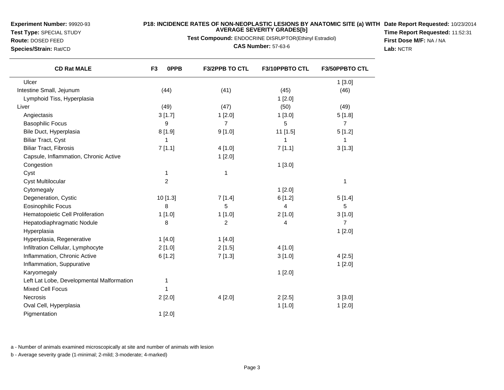**Test Type:** SPECIAL STUDY**Route:** DOSED FEED

**Species/Strain:** Rat/CD

 $\overline{\phantom{0}}$ 

# **P18: INCIDENCE RATES OF NON-NEOPLASTIC LESIONS BY ANATOMIC SITE (a) WITH AVERAGE SEVERITY GRADES[b] Date Report Requested:** 10/23/2014

**Test Compound:** ENDOCRINE DISRUPTOR(Ethinyl Estradiol)

**CAS Number:** 57-63-6

**Time Report Requested:** 11:52:31**First Dose M/F:** NA / NA**Lab:** NCTR

| <b>CD Rat MALE</b>                        | F <sub>3</sub><br>0PPB | <b>F3/2PPB TO CTL</b> | F3/10PPBTO CTL | <b>F3/50PPBTO CTL</b> |
|-------------------------------------------|------------------------|-----------------------|----------------|-----------------------|
| Ulcer                                     |                        |                       |                | 1[3.0]                |
| Intestine Small, Jejunum                  | (44)                   | (41)                  | (45)           | (46)                  |
| Lymphoid Tiss, Hyperplasia                |                        |                       | 1[2.0]         |                       |
| Liver                                     | (49)                   | (47)                  | (50)           | (49)                  |
| Angiectasis                               | 3[1.7]                 | 1[2.0]                | 1[3.0]         | 5[1.8]                |
| <b>Basophilic Focus</b>                   | 9                      | $\overline{7}$        | 5              | $\overline{7}$        |
| Bile Duct, Hyperplasia                    | 8[1.9]                 | 9[1.0]                | 11 [1.5]       | 5[1.2]                |
| <b>Biliar Tract, Cyst</b>                 | 1                      |                       | 1              | 1                     |
| <b>Biliar Tract, Fibrosis</b>             | 7[1.1]                 | 4[1.0]                | 7[1.1]         | 3[1.3]                |
| Capsule, Inflammation, Chronic Active     |                        | 1[2.0]                |                |                       |
| Congestion                                |                        |                       | 1[3.0]         |                       |
| Cyst                                      | 1                      | 1                     |                |                       |
| <b>Cyst Multilocular</b>                  | $\overline{c}$         |                       |                | 1                     |
| Cytomegaly                                |                        |                       | 1[2.0]         |                       |
| Degeneration, Cystic                      | 10 [1.3]               | 7[1.4]                | 6[1.2]         | 5[1.4]                |
| <b>Eosinophilic Focus</b>                 | 8                      | 5                     | 4              | 5                     |
| Hematopoietic Cell Proliferation          | 1[1.0]                 | 1[1.0]                | 2[1.0]         | 3[1.0]                |
| Hepatodiaphragmatic Nodule                | 8                      | $\overline{c}$        | 4              | $\overline{7}$        |
| Hyperplasia                               |                        |                       |                | 1[2.0]                |
| Hyperplasia, Regenerative                 | 1[4.0]                 | 1[4.0]                |                |                       |
| Infiltration Cellular, Lymphocyte         | 2[1.0]                 | 2[1.5]                | 4[1.0]         |                       |
| Inflammation, Chronic Active              | 6[1.2]                 | 7[1.3]                | 3[1.0]         | 4[2.5]                |
| Inflammation, Suppurative                 |                        |                       |                | 1[2.0]                |
| Karyomegaly                               |                        |                       | 1[2.0]         |                       |
| Left Lat Lobe, Developmental Malformation | 1                      |                       |                |                       |
| <b>Mixed Cell Focus</b>                   | 1                      |                       |                |                       |
| Necrosis                                  | 2[2.0]                 | 4[2.0]                | 2[2.5]         | 3[3.0]                |
| Oval Cell, Hyperplasia                    |                        |                       | 1[1.0]         | 1[2.0]                |
| Pigmentation                              | 1[2.0]                 |                       |                |                       |

a - Number of animals examined microscopically at site and number of animals with lesion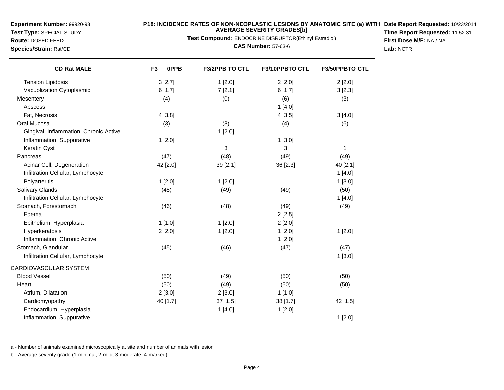**Test Type:** SPECIAL STUDY

**Route:** DOSED FEED**Species/Strain:** Rat/CD

# **P18: INCIDENCE RATES OF NON-NEOPLASTIC LESIONS BY ANATOMIC SITE (a) WITH AVERAGE SEVERITY GRADES[b] Date Report Requested:** 10/23/2014

**Test Compound:** ENDOCRINE DISRUPTOR(Ethinyl Estradiol)

**CAS Number:** 57-63-6

**Time Report Requested:** 11:52:31**First Dose M/F:** NA / NA**Lab:** NCTR

| <b>CD Rat MALE</b>                     | F <sub>3</sub><br>0PPB | F3/2PPB TO CTL | F3/10PPBTO CTL | <b>F3/50PPBTO CTL</b> |  |
|----------------------------------------|------------------------|----------------|----------------|-----------------------|--|
| <b>Tension Lipidosis</b>               | 3[2.7]                 | 1[2.0]         | 2[2.0]         | 2[2.0]                |  |
| Vacuolization Cytoplasmic              | 6[1.7]                 | 7[2.1]         | 6[1.7]         | 3[2.3]                |  |
| Mesentery                              | (4)                    | (0)            | (6)            | (3)                   |  |
| Abscess                                |                        |                | 1[4.0]         |                       |  |
| Fat, Necrosis                          | 4[3.8]                 |                | 4[3.5]         | 3[4.0]                |  |
| Oral Mucosa                            | (3)                    | (8)            | (4)            | (6)                   |  |
| Gingival, Inflammation, Chronic Active |                        | 1[2.0]         |                |                       |  |
| Inflammation, Suppurative              | 1[2.0]                 |                | 1[3.0]         |                       |  |
| Keratin Cyst                           |                        | 3              | 3              | 1                     |  |
| Pancreas                               | (47)                   | (48)           | (49)           | (49)                  |  |
| Acinar Cell, Degeneration              | 42 [2.0]               | 39 [2.1]       | 36 [2.3]       | 40 [2.1]              |  |
| Infiltration Cellular, Lymphocyte      |                        |                |                | 1[4.0]                |  |
| Polyarteritis                          | 1[2.0]                 | 1[2.0]         |                | 1[3.0]                |  |
| <b>Salivary Glands</b>                 | (48)                   | (49)           | (49)           | (50)                  |  |
| Infiltration Cellular, Lymphocyte      |                        |                |                | 1[4.0]                |  |
| Stomach, Forestomach                   | (46)                   | (48)           | (49)           | (49)                  |  |
| Edema                                  |                        |                | 2[2.5]         |                       |  |
| Epithelium, Hyperplasia                | 1[1.0]                 | 1[2.0]         | 2[2.0]         |                       |  |
| Hyperkeratosis                         | 2[2.0]                 | 1[2.0]         | 1[2.0]         | 1[2.0]                |  |
| Inflammation, Chronic Active           |                        |                | 1[2.0]         |                       |  |
| Stomach, Glandular                     | (45)                   | (46)           | (47)           | (47)                  |  |
| Infiltration Cellular, Lymphocyte      |                        |                |                | 1[3.0]                |  |
| CARDIOVASCULAR SYSTEM                  |                        |                |                |                       |  |
| <b>Blood Vessel</b>                    | (50)                   | (49)           | (50)           | (50)                  |  |
| Heart                                  | (50)                   | (49)           | (50)           | (50)                  |  |
| Atrium, Dilatation                     | 2[3.0]                 | 2[3.0]         | 1[1.0]         |                       |  |
| Cardiomyopathy                         | 40 [1.7]               | 37 [1.5]       | 38 [1.7]       | 42 [1.5]              |  |
| Endocardium, Hyperplasia               |                        | 1[4.0]         | 1[2.0]         |                       |  |
| Inflammation, Suppurative              |                        |                |                | 1[2.0]                |  |
|                                        |                        |                |                |                       |  |

a - Number of animals examined microscopically at site and number of animals with lesion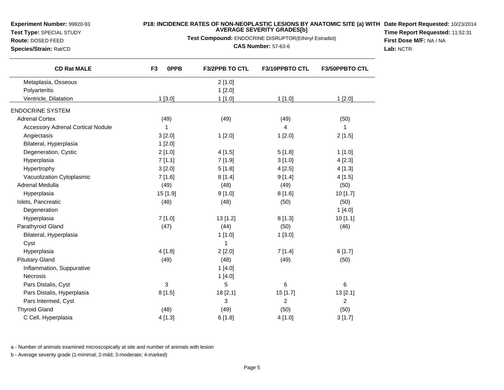**Test Type:** SPECIAL STUDY

**Route:** DOSED FEED**Species/Strain:** Rat/CD

# **P18: INCIDENCE RATES OF NON-NEOPLASTIC LESIONS BY ANATOMIC SITE (a) WITH AVERAGE SEVERITY GRADES[b] Date Report Requested:** 10/23/2014

**Test Compound:** ENDOCRINE DISRUPTOR(Ethinyl Estradiol)

**CAS Number:** 57-63-6

**Time Report Requested:** 11:52:31**First Dose M/F:** NA / NA**Lab:** NCTR

| <b>CD Rat MALE</b>                       | 0PPB<br>F <sub>3</sub> | <b>F3/2PPB TO CTL</b> | F3/10PPBTO CTL | F3/50PPBTO CTL |
|------------------------------------------|------------------------|-----------------------|----------------|----------------|
| Metaplasia, Osseous                      |                        | 2[1.0]                |                |                |
| Polyarteritis                            |                        | 1[2.0]                |                |                |
| Ventricle, Dilatation                    | 1[3.0]                 | $1$ [1.0]             | $1$ [1.0]      | 1[2.0]         |
| <b>ENDOCRINE SYSTEM</b>                  |                        |                       |                |                |
| <b>Adrenal Cortex</b>                    | (49)                   | (49)                  | (49)           | (50)           |
| <b>Accessory Adrenal Cortical Nodule</b> | 1                      |                       | 4              | 1              |
| Angiectasis                              | 3[2.0]                 | 1[2.0]                | 1[2.0]         | 2[1.5]         |
| Bilateral, Hyperplasia                   | 1[2.0]                 |                       |                |                |
| Degeneration, Cystic                     | 2[1.0]                 | 4[1.5]                | 5[1.8]         | 1[1.0]         |
| Hyperplasia                              | 7[1.1]                 | 7[1.9]                | 3[1.0]         | 4[2.3]         |
| Hypertrophy                              | 3[2.0]                 | 5[1.8]                | 4[2.5]         | 4[1.3]         |
| Vacuolization Cytoplasmic                | 7[1.6]                 | 8[1.4]                | 9[1.4]         | 4[1.5]         |
| Adrenal Medulla                          | (49)                   | (48)                  | (49)           | (50)           |
| Hyperplasia                              | 15 [1.9]               | 9[1.0]                | 8[1.6]         | 10 [1.7]       |
| Islets, Pancreatic                       | (48)                   | (48)                  | (50)           | (50)           |
| Degeneration                             |                        |                       |                | 1[4.0]         |
| Hyperplasia                              | 7[1.0]                 | 13 [1.2]              | 8[1.3]         | 10 [1.1]       |
| Parathyroid Gland                        | (47)                   | (44)                  | (50)           | (46)           |
| Bilateral, Hyperplasia                   |                        | 1[1.0]                | 1[3.0]         |                |
| Cyst                                     |                        | 1                     |                |                |
| Hyperplasia                              | 4 [1.8]                | 2[2.0]                | 7[1.4]         | 6[1.7]         |
| <b>Pituitary Gland</b>                   | (49)                   | (48)                  | (49)           | (50)           |
| Inflammation, Suppurative                |                        | 1[4.0]                |                |                |
| Necrosis                                 |                        | 1[4.0]                |                |                |
| Pars Distalis, Cyst                      | 3                      | 5                     | 6              | 6              |
| Pars Distalis, Hyperplasia               | 8[1.5]                 | 18 [2.1]              | 15 [1.7]       | 13 [2.1]       |
| Pars Intermed, Cyst                      |                        | 3                     | 2              | $\overline{2}$ |
| <b>Thyroid Gland</b>                     | (48)                   | (49)                  | (50)           | (50)           |
| C Cell, Hyperplasia                      | 4 [1.3]                | 6[1.8]                | 4 [1.0]        | 3[1.7]         |

a - Number of animals examined microscopically at site and number of animals with lesion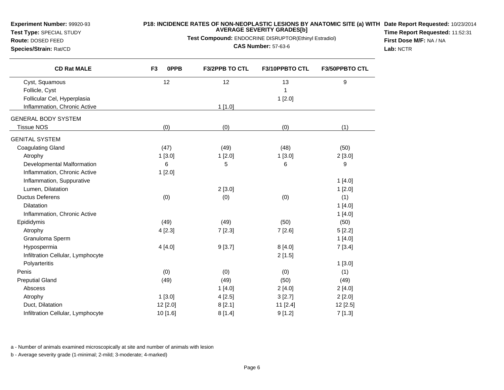**Test Type:** SPECIAL STUDY

**Route:** DOSED FEED

## **P18: INCIDENCE RATES OF NON-NEOPLASTIC LESIONS BY ANATOMIC SITE (a) WITH AVERAGE SEVERITY GRADES[b] Date Report Requested:** 10/23/2014

**Test Compound:** ENDOCRINE DISRUPTOR(Ethinyl Estradiol)

#### **CAS Number:** 57-63-6

**Time Report Requested:** 11:52:31**First Dose M/F:** NA / NA**Lab:** NCTR

| Species/Strain: Rat/CD |  |
|------------------------|--|
|                        |  |

| <b>CD Rat MALE</b>                | F <sub>3</sub><br>0PPB | <b>F3/2PPB TO CTL</b> | F3/10PPBTO CTL | <b>F3/50PPBTO CTL</b> |
|-----------------------------------|------------------------|-----------------------|----------------|-----------------------|
| Cyst, Squamous                    | 12                     | 12                    | 13             | 9                     |
| Follicle, Cyst                    |                        |                       | 1              |                       |
| Follicular Cel, Hyperplasia       |                        |                       | 1[2.0]         |                       |
| Inflammation, Chronic Active      |                        | 1[1.0]                |                |                       |
| <b>GENERAL BODY SYSTEM</b>        |                        |                       |                |                       |
| <b>Tissue NOS</b>                 | (0)                    | (0)                   | (0)            | (1)                   |
| <b>GENITAL SYSTEM</b>             |                        |                       |                |                       |
| <b>Coagulating Gland</b>          | (47)                   | (49)                  | (48)           | (50)                  |
| Atrophy                           | 1[3.0]                 | 1[2.0]                | 1[3.0]         | 2[3.0]                |
| Developmental Malformation        | 6                      | 5                     | 6              | 9                     |
| Inflammation, Chronic Active      | 1[2.0]                 |                       |                |                       |
| Inflammation, Suppurative         |                        |                       |                | 1[4.0]                |
| Lumen, Dilatation                 |                        | 2[3.0]                |                | 1[2.0]                |
| <b>Ductus Deferens</b>            | (0)                    | (0)                   | (0)            | (1)                   |
| <b>Dilatation</b>                 |                        |                       |                | 1[4.0]                |
| Inflammation, Chronic Active      |                        |                       |                | 1[4.0]                |
| Epididymis                        | (49)                   | (49)                  | (50)           | (50)                  |
| Atrophy                           | 4[2.3]                 | 7[2.3]                | 7[2.6]         | 5[2.2]                |
| Granuloma Sperm                   |                        |                       |                | 1[4.0]                |
| Hypospermia                       | 4[4.0]                 | 9[3.7]                | 8[4.0]         | 7[3.4]                |
| Infiltration Cellular, Lymphocyte |                        |                       | 2[1.5]         |                       |
| Polyarteritis                     |                        |                       |                | 1[3.0]                |
| Penis                             | (0)                    | (0)                   | (0)            | (1)                   |
| <b>Preputial Gland</b>            | (49)                   | (49)                  | (50)           | (49)                  |
| Abscess                           |                        | 1[4.0]                | 2[4.0]         | 2[4.0]                |
| Atrophy                           | 1[3.0]                 | 4[2.5]                | 3[2.7]         | 2[2.0]                |
| Duct, Dilatation                  | 12 [2.0]               | 8[2.1]                | 11 [2.4]       | 12 [2.5]              |
| Infiltration Cellular, Lymphocyte | 10 [1.6]               | 8[1.4]                | 9[1.2]         | 7[1.3]                |

a - Number of animals examined microscopically at site and number of animals with lesion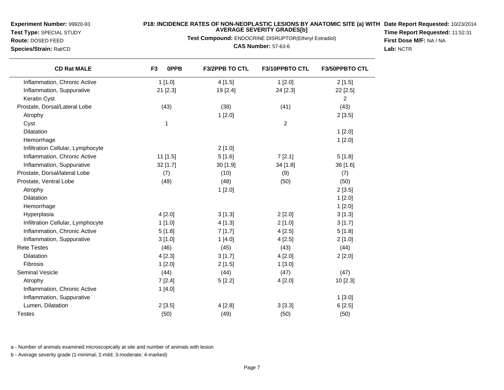# **Test Type:** SPECIAL STUDY**Route:** DOSED FEED

**Species/Strain:** Rat/CD

 $\overline{\phantom{0}}$ 

## **P18: INCIDENCE RATES OF NON-NEOPLASTIC LESIONS BY ANATOMIC SITE (a) WITH AVERAGE SEVERITY GRADES[b] Date Report Requested:** 10/23/2014

**Test Compound:** ENDOCRINE DISRUPTOR(Ethinyl Estradiol)

**CAS Number:** 57-63-6

**Time Report Requested:** 11:52:31**First Dose M/F:** NA / NA**Lab:** NCTR

| <b>CD Rat MALE</b>                | F <sub>3</sub><br><b>OPPB</b> | F3/2PPB TO CTL | F3/10PPBTO CTL | F3/50PPBTO CTL |
|-----------------------------------|-------------------------------|----------------|----------------|----------------|
| Inflammation, Chronic Active      | $1$ [1.0]                     | 4[1.5]         | 1[2.0]         | 2[1.5]         |
| Inflammation, Suppurative         | 21 [2.3]                      | 19 [2.4]       | 24 [2.3]       | 22 [2.5]       |
| Keratin Cyst                      |                               |                |                | $\overline{2}$ |
| Prostate, Dorsal/Lateral Lobe     | (43)                          | (38)           | (41)           | (43)           |
| Atrophy                           |                               | 1[2.0]         |                | 2[3.5]         |
| Cyst                              | $\mathbf{1}$                  |                | $\overline{2}$ |                |
| Dilatation                        |                               |                |                | 1[2.0]         |
| Hemorrhage                        |                               |                |                | 1[2.0]         |
| Infiltration Cellular, Lymphocyte |                               | 2[1.0]         |                |                |
| Inflammation, Chronic Active      | $11$ [1.5]                    | 5[1.6]         | 7[2.1]         | 5[1.8]         |
| Inflammation, Suppurative         | 32 [1.7]                      | 30 [1.9]       | 34 [1.8]       | 36 [1.6]       |
| Prostate, Dorsal/lateral Lobe     | (7)                           | (10)           | (9)            | (7)            |
| Prostate, Ventral Lobe            | (49)                          | (48)           | (50)           | (50)           |
| Atrophy                           |                               | 1[2.0]         |                | 2[3.5]         |
| <b>Dilatation</b>                 |                               |                |                | 1[2.0]         |
| Hemorrhage                        |                               |                |                | 1[2.0]         |
| Hyperplasia                       | 4[2.0]                        | 3[1.3]         | 2[2.0]         | 3[1.3]         |
| Infiltration Cellular, Lymphocyte | 1[1.0]                        | 4[1.3]         | 2[1.0]         | 3[1.7]         |
| Inflammation, Chronic Active      | 5[1.8]                        | 7[1.7]         | 4[2.5]         | 5[1.8]         |
| Inflammation, Suppurative         | 3[1.0]                        | 1[4.0]         | 4[2.5]         | 2[1.0]         |
| <b>Rete Testes</b>                | (46)                          | (45)           | (43)           | (44)           |
| Dilatation                        | 4[2.3]                        | 3[1.7]         | 4[2.0]         | 2[2.0]         |
| Fibrosis                          | 1[2.0]                        | 2[1.5]         | 1[3.0]         |                |
| <b>Seminal Vesicle</b>            | (44)                          | (44)           | (47)           | (47)           |
| Atrophy                           | 7[2.4]                        | 5[2.2]         | 4[2.0]         | 10 [2.3]       |
| Inflammation, Chronic Active      | 1[4.0]                        |                |                |                |
| Inflammation, Suppurative         |                               |                |                | 1[3.0]         |
| Lumen, Dilatation                 | 2[3.5]                        | 4[2.8]         | 3[3.3]         | 6[2.5]         |
| <b>Testes</b>                     | (50)                          | (49)           | (50)           | (50)           |

a - Number of animals examined microscopically at site and number of animals with lesion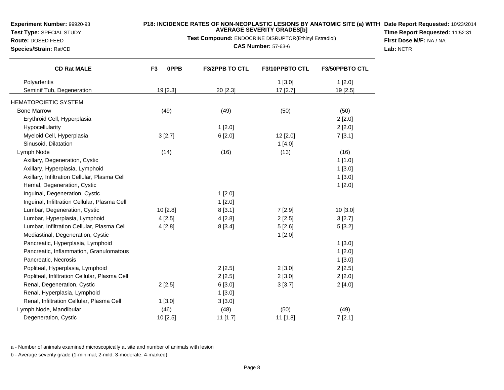**Test Type:** SPECIAL STUDY

**Route:** DOSED FEED**Species/Strain:** Rat/CD

## **P18: INCIDENCE RATES OF NON-NEOPLASTIC LESIONS BY ANATOMIC SITE (a) WITH AVERAGE SEVERITY GRADES[b] Date Report Requested:** 10/23/2014

**Test Compound:** ENDOCRINE DISRUPTOR(Ethinyl Estradiol)

**CAS Number:** 57-63-6

**Time Report Requested:** 11:52:31**First Dose M/F:** NA / NA**Lab:** NCTR

| <b>CD Rat MALE</b>                            | F <sub>3</sub><br>0PPB | F3/2PPB TO CTL | F3/10PPBTO CTL | F3/50PPBTO CTL |
|-----------------------------------------------|------------------------|----------------|----------------|----------------|
| Polyarteritis                                 |                        |                | 1[3.0]         | 1[2.0]         |
| Seminif Tub, Degeneration                     | 19 [2.3]               | 20 [2.3]       | $17$ [2.7]     | 19 [2.5]       |
| <b>HEMATOPOIETIC SYSTEM</b>                   |                        |                |                |                |
| <b>Bone Marrow</b>                            | (49)                   | (49)           | (50)           | (50)           |
| Erythroid Cell, Hyperplasia                   |                        |                |                | 2[2.0]         |
| Hypocellularity                               |                        | 1[2.0]         |                | 2[2.0]         |
| Myeloid Cell, Hyperplasia                     | 3[2.7]                 | 6[2.0]         | 12 [2.0]       | 7[3.1]         |
| Sinusoid, Dilatation                          |                        |                | 1[4.0]         |                |
| Lymph Node                                    | (14)                   | (16)           | (13)           | (16)           |
| Axillary, Degeneration, Cystic                |                        |                |                | 1[1.0]         |
| Axillary, Hyperplasia, Lymphoid               |                        |                |                | 1[3.0]         |
| Axillary, Infiltration Cellular, Plasma Cell  |                        |                |                | 1[3.0]         |
| Hemal, Degeneration, Cystic                   |                        |                |                | 1[2.0]         |
| Inguinal, Degeneration, Cystic                |                        | 1[2.0]         |                |                |
| Inguinal, Infiltration Cellular, Plasma Cell  |                        | 1[2.0]         |                |                |
| Lumbar, Degeneration, Cystic                  | 10 [2.8]               | 8[3.1]         | 7[2.9]         | 10 [3.0]       |
| Lumbar, Hyperplasia, Lymphoid                 | 4[2.5]                 | 4[2.8]         | 2[2.5]         | 3[2.7]         |
| Lumbar, Infiltration Cellular, Plasma Cell    | 4 [2.8]                | 8[3.4]         | 5[2.6]         | 5[3.2]         |
| Mediastinal, Degeneration, Cystic             |                        |                | 1[2.0]         |                |
| Pancreatic, Hyperplasia, Lymphoid             |                        |                |                | 1[3.0]         |
| Pancreatic, Inflammation, Granulomatous       |                        |                |                | 1[2.0]         |
| Pancreatic, Necrosis                          |                        |                |                | 1[3.0]         |
| Popliteal, Hyperplasia, Lymphoid              |                        | 2[2.5]         | 2[3.0]         | 2[2.5]         |
| Popliteal, Infiltration Cellular, Plasma Cell |                        | 2[2.5]         | 2[3.0]         | 2[2.0]         |
| Renal, Degeneration, Cystic                   | 2[2.5]                 | 6[3.0]         | 3[3.7]         | 2[4.0]         |
| Renal, Hyperplasia, Lymphoid                  |                        | 1[3.0]         |                |                |
| Renal, Infiltration Cellular, Plasma Cell     | 1[3.0]                 | 3[3.0]         |                |                |
| Lymph Node, Mandibular                        | (46)                   | (48)           | (50)           | (49)           |
| Degeneration, Cystic                          | 10 [2.5]               | 11 [1.7]       | 11 [1.8]       | 7[2.1]         |

a - Number of animals examined microscopically at site and number of animals with lesion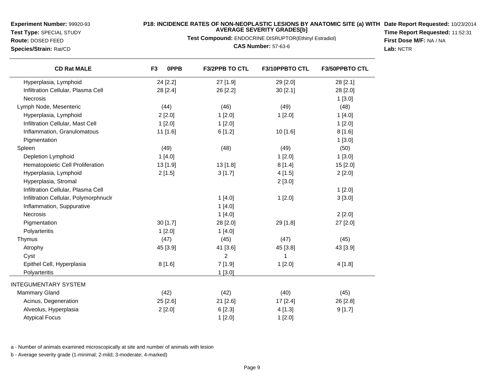**Experiment Number:** 99920-93**Test Type:** SPECIAL STUDY

# **Route:** DOSED FEED

**Species/Strain:** Rat/CD

 $\overline{\phantom{a}}$ 

## **P18: INCIDENCE RATES OF NON-NEOPLASTIC LESIONS BY ANATOMIC SITE (a) WITH AVERAGE SEVERITY GRADES[b] Date Report Requested:** 10/23/2014

**Test Compound:** ENDOCRINE DISRUPTOR(Ethinyl Estradiol)

**CAS Number:** 57-63-6

**Time Report Requested:** 11:52:31**First Dose M/F:** NA / NA**Lab:** NCTR

| <b>CD Rat MALE</b>                    | 0PPB<br>F <sub>3</sub> | <b>F3/2PPB TO CTL</b> | F3/10PPBTO CTL | F3/50PPBTO CTL |
|---------------------------------------|------------------------|-----------------------|----------------|----------------|
| Hyperplasia, Lymphoid                 | 24 [2.2]               | 27 [1.9]              | 29 [2.0]       | 28 [2.1]       |
| Infiltration Cellular, Plasma Cell    | 28 [2.4]               | 26 [2.2]              | 30[2.1]        | 28 [2.0]       |
| Necrosis                              |                        |                       |                | 1[3.0]         |
| Lymph Node, Mesenteric                | (44)                   | (46)                  | (49)           | (48)           |
| Hyperplasia, Lymphoid                 | 2[2.0]                 | 1[2.0]                | 1[2.0]         | 1[4.0]         |
| Infiltration Cellular, Mast Cell      | 1[2.0]                 | 1[2.0]                |                | 1[2.0]         |
| Inflammation, Granulomatous           | 11 [1.6]               | 6[1.2]                | 10 [1.6]       | 8[1.6]         |
| Pigmentation                          |                        |                       |                | 1[3.0]         |
| Spleen                                | (49)                   | (48)                  | (49)           | (50)           |
| Depletion Lymphoid                    | 1[4.0]                 |                       | 1[2.0]         | 1[3.0]         |
| Hematopoietic Cell Proliferation      | 13 [1.9]               | 13 [1.8]              | 8[1.4]         | 15 [2.0]       |
| Hyperplasia, Lymphoid                 | 2[1.5]                 | 3[1.7]                | 4[1.5]         | 2[2.0]         |
| Hyperplasia, Stromal                  |                        |                       | 2[3.0]         |                |
| Infiltration Cellular, Plasma Cell    |                        |                       |                | 1[2.0]         |
| Infiltration Cellular, Polymorphnuclr |                        | 1[4.0]                | 1[2.0]         | 3[3.0]         |
| Inflammation, Suppurative             |                        | 1[4.0]                |                |                |
| <b>Necrosis</b>                       |                        | 1[4.0]                |                | 2[2.0]         |
| Pigmentation                          | 30 [1.7]               | 28 [2.0]              | 29 [1.8]       | 27 [2.0]       |
| Polyarteritis                         | 1[2.0]                 | 1[4.0]                |                |                |
| Thymus                                | (47)                   | (45)                  | (47)           | (45)           |
| Atrophy                               | 45 [3.9]               | 41 [3.6]              | 45 [3.8]       | 43 [3.9]       |
| Cyst                                  |                        | $\overline{2}$        |                |                |
| Epithel Cell, Hyperplasia             | 8[1.6]                 | 7[1.9]                | 1[2.0]         | 4[1.8]         |
| Polyarteritis                         |                        | 1[3.0]                |                |                |
| INTEGUMENTARY SYSTEM                  |                        |                       |                |                |
| <b>Mammary Gland</b>                  | (42)                   | (42)                  | (40)           | (45)           |
| Acinus, Degeneration                  | 25 [2.6]               | 21 [2.6]              | 17 [2.4]       | 26 [2.8]       |
| Alveolus, Hyperplasia                 | 2[2.0]                 | 6[2.3]                | 4[1.3]         | 9[1.7]         |
| <b>Atypical Focus</b>                 |                        | 1[2.0]                | 1[2.0]         |                |

a - Number of animals examined microscopically at site and number of animals with lesion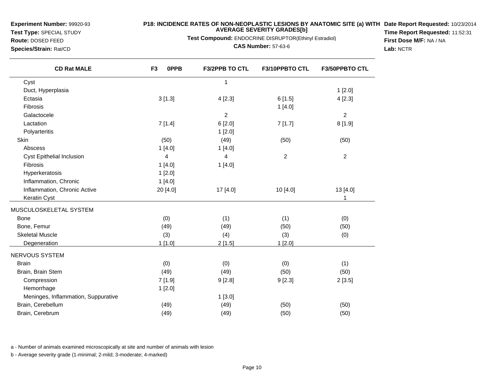**Test Type:** SPECIAL STUDY**Route:** DOSED FEED

**Species/Strain:** Rat/CD

# **P18: INCIDENCE RATES OF NON-NEOPLASTIC LESIONS BY ANATOMIC SITE (a) WITH AVERAGE SEVERITY GRADES[b] Date Report Requested:** 10/23/2014

**Test Compound:** ENDOCRINE DISRUPTOR(Ethinyl Estradiol)

**CAS Number:** 57-63-6

**Time Report Requested:** 11:52:31**First Dose M/F:** NA / NA**Lab:** NCTR

| <b>CD Rat MALE</b>                  | 0PPB<br>F <sub>3</sub> | <b>F3/2PPB TO CTL</b> | F3/10PPBTO CTL | F3/50PPBTO CTL |
|-------------------------------------|------------------------|-----------------------|----------------|----------------|
| Cyst                                |                        | 1                     |                |                |
| Duct, Hyperplasia                   |                        |                       |                | 1[2.0]         |
| Ectasia                             | 3[1.3]                 | 4[2.3]                | 6[1.5]         | 4[2.3]         |
| Fibrosis                            |                        |                       | 1[4.0]         |                |
| Galactocele                         |                        | $\overline{2}$        |                | $\overline{2}$ |
| Lactation                           | 7[1.4]                 | 6[2.0]                | 7[1.7]         | 8[1.9]         |
| Polyarteritis                       |                        | 1[2.0]                |                |                |
| Skin                                | (50)                   | (49)                  | (50)           | (50)           |
| Abscess                             | 1[4.0]                 | 1[4.0]                |                |                |
| Cyst Epithelial Inclusion           | $\overline{4}$         | 4                     | 2              | 2              |
| Fibrosis                            | 1[4.0]                 | 1[4.0]                |                |                |
| Hyperkeratosis                      | 1[2.0]                 |                       |                |                |
| Inflammation, Chronic               | 1[4.0]                 |                       |                |                |
| Inflammation, Chronic Active        | 20 [4.0]               | 17 [4.0]              | 10 [4.0]       | 13 [4.0]       |
| Keratin Cyst                        |                        |                       |                | 1              |
| MUSCULOSKELETAL SYSTEM              |                        |                       |                |                |
| <b>Bone</b>                         | (0)                    | (1)                   | (1)            | (0)            |
| Bone, Femur                         | (49)                   | (49)                  | (50)           | (50)           |
| <b>Skeletal Muscle</b>              | (3)                    | (4)                   | (3)            | (0)            |
| Degeneration                        | 1[1.0]                 | 2[1.5]                | 1[2.0]         |                |
| NERVOUS SYSTEM                      |                        |                       |                |                |
| <b>Brain</b>                        | (0)                    | (0)                   | (0)            | (1)            |
| Brain, Brain Stem                   | (49)                   | (49)                  | (50)           | (50)           |
| Compression                         | 7[1.9]                 | 9[2.8]                | 9[2.3]         | 2[3.5]         |
| Hemorrhage                          | 1[2.0]                 |                       |                |                |
| Meninges, Inflammation, Suppurative |                        | 1[3.0]                |                |                |
| Brain, Cerebellum                   | (49)                   | (49)                  | (50)           | (50)           |
| Brain, Cerebrum                     | (49)                   | (49)                  | (50)           | (50)           |

a - Number of animals examined microscopically at site and number of animals with lesion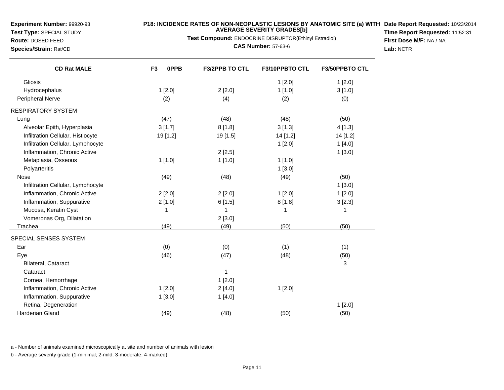**Test Type:** SPECIAL STUDY

**Route:** DOSED FEED**Species/Strain:** Rat/CD

#### **P18: INCIDENCE RATES OF NON-NEOPLASTIC LESIONS BY ANATOMIC SITE (a) WITH AVERAGE SEVERITY GRADES[b] Date Report Requested:** 10/23/2014

**Test Compound:** ENDOCRINE DISRUPTOR(Ethinyl Estradiol)

**CAS Number:** 57-63-6

**Time Report Requested:** 11:52:31**First Dose M/F:** NA / NA**Lab:** NCTR

| <b>CD Rat MALE</b>                | F <sub>3</sub><br><b>OPPB</b> | <b>F3/2PPB TO CTL</b> | F3/10PPBTO CTL | <b>F3/50PPBTO CTL</b> |
|-----------------------------------|-------------------------------|-----------------------|----------------|-----------------------|
| Gliosis                           |                               |                       | 1[2.0]         | 1[2.0]                |
| Hydrocephalus                     | 1[2.0]                        | 2[2.0]                | 1[1.0]         | 3[1.0]                |
| Peripheral Nerve                  | (2)                           | (4)                   | (2)            | (0)                   |
| RESPIRATORY SYSTEM                |                               |                       |                |                       |
| Lung                              | (47)                          | (48)                  | (48)           | (50)                  |
| Alveolar Epith, Hyperplasia       | 3[1.7]                        | 8[1.8]                | 3[1.3]         | 4[1.3]                |
| Infiltration Cellular, Histiocyte | 19 [1.2]                      | 19 [1.5]              | 14 [1.2]       | 14 [1.2]              |
| Infiltration Cellular, Lymphocyte |                               |                       | 1[2.0]         | 1[4.0]                |
| Inflammation, Chronic Active      |                               | 2[2.5]                |                | 1[3.0]                |
| Metaplasia, Osseous               | 1[1.0]                        | 1[1.0]                | 1[1.0]         |                       |
| Polyarteritis                     |                               |                       | 1[3.0]         |                       |
| Nose                              | (49)                          | (48)                  | (49)           | (50)                  |
| Infiltration Cellular, Lymphocyte |                               |                       |                | 1[3.0]                |
| Inflammation, Chronic Active      | 2[2.0]                        | 2[2.0]                | 1[2.0]         | 1[2.0]                |
| Inflammation, Suppurative         | 2[1.0]                        | 6[1.5]                | 8[1.8]         | 3[2.3]                |
| Mucosa, Keratin Cyst              | 1                             | 1                     | 1              | 1                     |
| Vomeronas Org, Dilatation         |                               | 2[3.0]                |                |                       |
| Trachea                           | (49)                          | (49)                  | (50)           | (50)                  |
| SPECIAL SENSES SYSTEM             |                               |                       |                |                       |
| Ear                               | (0)                           | (0)                   | (1)            | (1)                   |
| Eye                               | (46)                          | (47)                  | (48)           | (50)                  |
| Bilateral, Cataract               |                               |                       |                | $\sqrt{3}$            |
| Cataract                          |                               | 1                     |                |                       |
| Cornea, Hemorrhage                |                               | 1[2.0]                |                |                       |
| Inflammation, Chronic Active      | 1 [2.0]                       | 2[4.0]                | 1[2.0]         |                       |
| Inflammation, Suppurative         | 1[3.0]                        | 1[4.0]                |                |                       |
| Retina, Degeneration              |                               |                       |                | 1[2.0]                |
| Harderian Gland                   | (49)                          | (48)                  | (50)           | (50)                  |
|                                   |                               |                       |                |                       |

a - Number of animals examined microscopically at site and number of animals with lesion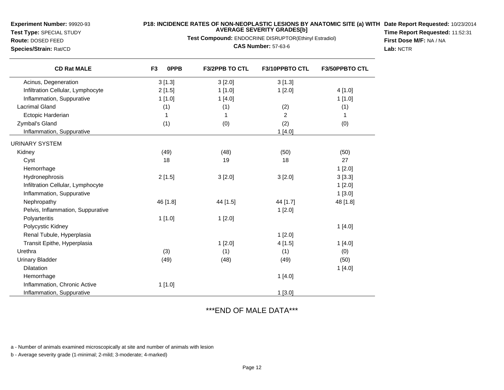# **Test Type:** SPECIAL STUDY**Route:** DOSED FEED

**Species/Strain:** Rat/CD

# **P18: INCIDENCE RATES OF NON-NEOPLASTIC LESIONS BY ANATOMIC SITE (a) WITH AVERAGE SEVERITY GRADES[b] Date Report Requested:** 10/23/2014

**Test Compound:** ENDOCRINE DISRUPTOR(Ethinyl Estradiol)

**CAS Number:** 57-63-6

**Time Report Requested:** 11:52:31**First Dose M/F:** NA / NA**Lab:** NCTR

| <b>CD Rat MALE</b>                | 0PPB<br>F <sub>3</sub> | <b>F3/2PPB TO CTL</b> | <b>F3/10PPBTO CTL</b> | <b>F3/50PPBTO CTL</b> |
|-----------------------------------|------------------------|-----------------------|-----------------------|-----------------------|
| Acinus, Degeneration              | 3[1.3]                 | 3[2.0]                | 3[1.3]                |                       |
| Infiltration Cellular, Lymphocyte | 2[1.5]                 | 1[1.0]                | 1[2.0]                | 4[1.0]                |
| Inflammation, Suppurative         | 1[1.0]                 | 1[4.0]                |                       | 1[1.0]                |
| <b>Lacrimal Gland</b>             | (1)                    | (1)                   | (2)                   | (1)                   |
| Ectopic Harderian                 | 1                      | 1                     | $\overline{2}$        | 1                     |
| Zymbal's Gland                    | (1)                    | (0)                   | (2)                   | (0)                   |
| Inflammation, Suppurative         |                        |                       | 1[4.0]                |                       |
| URINARY SYSTEM                    |                        |                       |                       |                       |
| Kidney                            | (49)                   | (48)                  | (50)                  | (50)                  |
| Cyst                              | 18                     | 19                    | 18                    | 27                    |
| Hemorrhage                        |                        |                       |                       | 1[2.0]                |
| Hydronephrosis                    | 2[1.5]                 | 3[2.0]                | 3[2.0]                | 3[3.3]                |
| Infiltration Cellular, Lymphocyte |                        |                       |                       | 1[2.0]                |
| Inflammation, Suppurative         |                        |                       |                       | 1[3.0]                |
| Nephropathy                       | 46 [1.8]               | 44 [1.5]              | 44 [1.7]              | 48 [1.8]              |
| Pelvis, Inflammation, Suppurative |                        |                       | $1$ [2.0]             |                       |
| Polyarteritis                     | 1[1.0]                 | 1[2.0]                |                       |                       |
| Polycystic Kidney                 |                        |                       |                       | 1[4.0]                |
| Renal Tubule, Hyperplasia         |                        |                       | 1[2.0]                |                       |
| Transit Epithe, Hyperplasia       |                        | 1[2.0]                | 4[1.5]                | 1[4.0]                |
| Urethra                           | (3)                    | (1)                   | (1)                   | (0)                   |
| <b>Urinary Bladder</b>            | (49)                   | (48)                  | (49)                  | (50)                  |
| <b>Dilatation</b>                 |                        |                       |                       | 1[4.0]                |
| Hemorrhage                        |                        |                       | 1 [4.0]               |                       |
| Inflammation, Chronic Active      | 1[1.0]                 |                       |                       |                       |
| Inflammation, Suppurative         |                        |                       | 1[3.0]                |                       |

# \*\*\*END OF MALE DATA\*\*\*

a - Number of animals examined microscopically at site and number of animals with lesion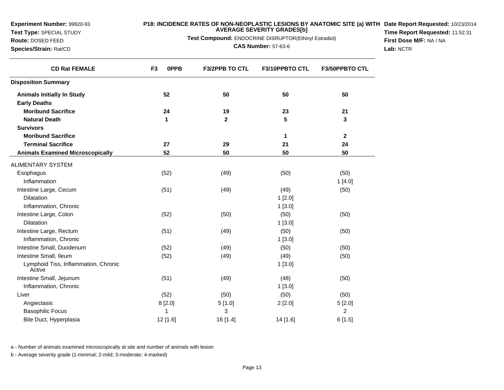**Test Type:** SPECIAL STUDY**Route:** DOSED FEED

**Species/Strain:** Rat/CD

#### **P18: INCIDENCE RATES OF NON-NEOPLASTIC LESIONS BY ANATOMIC SITE (a) WITH AVERAGE SEVERITY GRADES[b] Date Report Requested:** 10/23/2014

**Test Compound:** ENDOCRINE DISRUPTOR(Ethinyl Estradiol)

**CAS Number:** 57-63-6

**Time Report Requested:** 11:52:31**First Dose M/F:** NA / NA**Lab:** NCTR

| <b>CD Rat FEMALE</b>                           | 0PPB<br>F <sub>3</sub> | <b>F3/2PPB TO CTL</b> | F3/10PPBTO CTL | <b>F3/50PPBTO CTL</b> |
|------------------------------------------------|------------------------|-----------------------|----------------|-----------------------|
| <b>Disposition Summary</b>                     |                        |                       |                |                       |
| <b>Animals Initially In Study</b>              | 52                     | 50                    | 50             | 50                    |
| <b>Early Deaths</b>                            |                        |                       |                |                       |
| <b>Moribund Sacrifice</b>                      | 24                     | 19                    | 23             | 21                    |
| <b>Natural Death</b>                           | 1                      | $\mathbf 2$           | 5              | 3                     |
| <b>Survivors</b>                               |                        |                       |                |                       |
| <b>Moribund Sacrifice</b>                      |                        |                       | 1              | $\overline{2}$        |
| <b>Terminal Sacrifice</b>                      | 27                     | 29                    | 21             | 24                    |
| <b>Animals Examined Microscopically</b>        | 52                     | 50                    | 50             | 50                    |
| <b>ALIMENTARY SYSTEM</b>                       |                        |                       |                |                       |
| Esophagus                                      | (52)                   | (49)                  | (50)           | (50)                  |
| Inflammation                                   |                        |                       |                | 1[4.0]                |
| Intestine Large, Cecum                         | (51)                   | (49)                  | (49)           | (50)                  |
| <b>Dilatation</b>                              |                        |                       | 1[2.0]         |                       |
| Inflammation, Chronic                          |                        |                       | 1[3.0]         |                       |
| Intestine Large, Colon                         | (52)                   | (50)                  | (50)           | (50)                  |
| <b>Dilatation</b>                              |                        |                       | 1 [3.0]        |                       |
| Intestine Large, Rectum                        | (51)                   | (49)                  | (50)           | (50)                  |
| Inflammation, Chronic                          |                        |                       | 1[3.0]         |                       |
| Intestine Small, Duodenum                      | (52)                   | (49)                  | (50)           | (50)                  |
| Intestine Small, Ileum                         | (52)                   | (49)                  | (49)           | (50)                  |
| Lymphoid Tiss, Inflammation, Chronic<br>Active |                        |                       | 1[3.0]         |                       |
| Intestine Small, Jejunum                       | (51)                   | (49)                  | (48)           | (50)                  |
| Inflammation, Chronic                          |                        |                       | 1[3.0]         |                       |
| Liver                                          | (52)                   | (50)                  | (50)           | (50)                  |
| Angiectasis                                    | 8[2.0]                 | 5[1.0]                | 2[2.0]         | 5[2.0]                |
| <b>Basophilic Focus</b>                        | 1                      | 3                     |                | $\overline{2}$        |
| Bile Duct, Hyperplasia                         | 12 [1.6]               | 16 [1.4]              | 14 [1.6]       | 6[1.5]                |

a - Number of animals examined microscopically at site and number of animals with lesion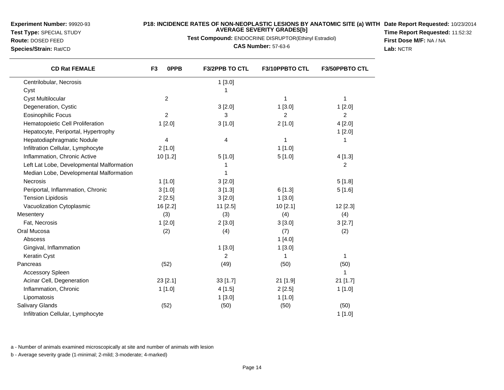**Test Type:** SPECIAL STUDY

**Route:** DOSED FEED**Species/Strain:** Rat/CD

## **P18: INCIDENCE RATES OF NON-NEOPLASTIC LESIONS BY ANATOMIC SITE (a) WITH AVERAGE SEVERITY GRADES[b] Date Report Requested:** 10/23/2014

**Test Compound:** ENDOCRINE DISRUPTOR(Ethinyl Estradiol)

**CAS Number:** 57-63-6

**Time Report Requested:** 11:52:32**First Dose M/F:** NA / NA**Lab:** NCTR

| <b>CD Rat FEMALE</b>                      | 0PPB<br>F <sub>3</sub> | F3/2PPB TO CTL | F3/10PPBTO CTL | <b>F3/50PPBTO CTL</b> |
|-------------------------------------------|------------------------|----------------|----------------|-----------------------|
| Centrilobular, Necrosis                   |                        | 1[3.0]         |                |                       |
| Cyst                                      |                        | 1              |                |                       |
| <b>Cyst Multilocular</b>                  | $\overline{c}$         |                | 1              | 1                     |
| Degeneration, Cystic                      |                        | 3[2.0]         | 1[3.0]         | 1[2.0]                |
| <b>Eosinophilic Focus</b>                 | $\overline{2}$         | 3              | 2              | $\overline{2}$        |
| Hematopoietic Cell Proliferation          | 1[2.0]                 | 3[1.0]         | 2[1.0]         | 4[2.0]                |
| Hepatocyte, Periportal, Hypertrophy       |                        |                |                | 1[2.0]                |
| Hepatodiaphragmatic Nodule                | 4                      | 4              | 1              | 1                     |
| Infiltration Cellular, Lymphocyte         | 2[1.0]                 |                | 1[1.0]         |                       |
| Inflammation, Chronic Active              | 10 [1.2]               | 5[1.0]         | 5[1.0]         | 4[1.3]                |
| Left Lat Lobe, Developmental Malformation |                        | 1              |                | 2                     |
| Median Lobe, Developmental Malformation   |                        | 1              |                |                       |
| <b>Necrosis</b>                           | 1[1.0]                 | 3[2.0]         |                | 5[1.8]                |
| Periportal, Inflammation, Chronic         | 3[1.0]                 | 3[1.3]         | 6[1.3]         | 5[1.6]                |
| <b>Tension Lipidosis</b>                  | 2[2.5]                 | 3[2.0]         | 1[3.0]         |                       |
| Vacuolization Cytoplasmic                 | 16 [2.2]               | 11 [2.5]       | 10 [2.1]       | 12 [2.3]              |
| Mesentery                                 | (3)                    | (3)            | (4)            | (4)                   |
| Fat, Necrosis                             | 1[2.0]                 | 2[3.0]         | 3[3.0]         | 3[2.7]                |
| Oral Mucosa                               | (2)                    | (4)            | (7)            | (2)                   |
| Abscess                                   |                        |                | 1[4.0]         |                       |
| Gingival, Inflammation                    |                        | 1[3.0]         | 1[3.0]         |                       |
| Keratin Cyst                              |                        | 2              | 1              | 1                     |
| Pancreas                                  | (52)                   | (49)           | (50)           | (50)                  |
| <b>Accessory Spleen</b>                   |                        |                |                |                       |
| Acinar Cell, Degeneration                 | 23 [2.1]               | 33 [1.7]       | 21 [1.9]       | 21 [1.7]              |
| Inflammation, Chronic                     | 1[1.0]                 | 4[1.5]         | 2[2.5]         | 1[1.0]                |
| Lipomatosis                               |                        | 1[3.0]         | 1[1.0]         |                       |
| <b>Salivary Glands</b>                    | (52)                   | (50)           | (50)           | (50)                  |
| Infiltration Cellular, Lymphocyte         |                        |                |                | 1[1.0]                |

a - Number of animals examined microscopically at site and number of animals with lesion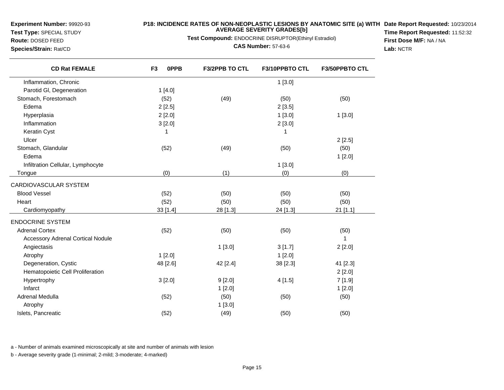**Test Type:** SPECIAL STUDY

**Route:** DOSED FEED**Species/Strain:** Rat/CD

# **P18: INCIDENCE RATES OF NON-NEOPLASTIC LESIONS BY ANATOMIC SITE (a) WITH AVERAGE SEVERITY GRADES[b] Date Report Requested:** 10/23/2014

**Test Compound:** ENDOCRINE DISRUPTOR(Ethinyl Estradiol)

**CAS Number:** 57-63-6

**Time Report Requested:** 11:52:32**First Dose M/F:** NA / NA**Lab:** NCTR

| <b>CD Rat FEMALE</b>                     | <b>OPPB</b><br>F <sub>3</sub> | F3/2PPB TO CTL | F3/10PPBTO CTL | F3/50PPBTO CTL |
|------------------------------------------|-------------------------------|----------------|----------------|----------------|
| Inflammation, Chronic                    |                               |                | 1[3.0]         |                |
| Parotid GI, Degeneration                 | 1[4.0]                        |                |                |                |
| Stomach, Forestomach                     | (52)                          | (49)           | (50)           | (50)           |
| Edema                                    | 2[2.5]                        |                | 2[3.5]         |                |
| Hyperplasia                              | 2[2.0]                        |                | 1[3.0]         | 1[3.0]         |
| Inflammation                             | 3[2.0]                        |                | 2[3.0]         |                |
| Keratin Cyst                             | 1                             |                | 1              |                |
| Ulcer                                    |                               |                |                | 2[2.5]         |
| Stomach, Glandular                       | (52)                          | (49)           | (50)           | (50)           |
| Edema                                    |                               |                |                | 1[2.0]         |
| Infiltration Cellular, Lymphocyte        |                               |                | 1[3.0]         |                |
| Tongue                                   | (0)                           | (1)            | (0)            | (0)            |
| CARDIOVASCULAR SYSTEM                    |                               |                |                |                |
| <b>Blood Vessel</b>                      | (52)                          | (50)           | (50)           | (50)           |
| Heart                                    | (52)                          | (50)           | (50)           | (50)           |
| Cardiomyopathy                           | 33[1.4]                       | 28 [1.3]       | 24 [1.3]       | 21 [1.1]       |
| <b>ENDOCRINE SYSTEM</b>                  |                               |                |                |                |
| <b>Adrenal Cortex</b>                    | (52)                          | (50)           | (50)           | (50)           |
| <b>Accessory Adrenal Cortical Nodule</b> |                               |                |                | 1              |
| Angiectasis                              |                               | 1[3.0]         | 3[1.7]         | 2[2.0]         |
| Atrophy                                  | 1[2.0]                        |                | 1[2.0]         |                |
| Degeneration, Cystic                     | 48 [2.6]                      | 42 [2.4]       | 38 [2.3]       | 41 [2.3]       |
| Hematopoietic Cell Proliferation         |                               |                |                | 2[2.0]         |
| Hypertrophy                              | 3[2.0]                        | 9[2.0]         | 4[1.5]         | 7[1.9]         |
| Infarct                                  |                               | 1[2.0]         |                | 1[2.0]         |
| Adrenal Medulla                          | (52)                          | (50)           | (50)           | (50)           |
| Atrophy                                  |                               | 1[3.0]         |                |                |
| Islets, Pancreatic                       | (52)                          | (49)           | (50)           | (50)           |

a - Number of animals examined microscopically at site and number of animals with lesion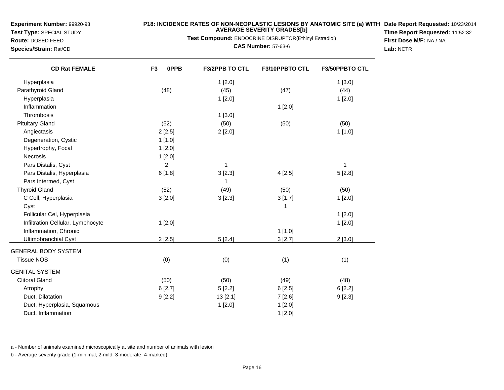**Test Type:** SPECIAL STUDY**Route:** DOSED FEED

**Species/Strain:** Rat/CD

## **P18: INCIDENCE RATES OF NON-NEOPLASTIC LESIONS BY ANATOMIC SITE (a) WITH AVERAGE SEVERITY GRADES[b] Date Report Requested:** 10/23/2014

**Test Compound:** ENDOCRINE DISRUPTOR(Ethinyl Estradiol)

**CAS Number:** 57-63-6

**Time Report Requested:** 11:52:32**First Dose M/F:** NA / NA**Lab:** NCTR

| Hyperplasia<br>1[2.0]<br>1[3.0]<br>(48)<br>(45)<br>Parathyroid Gland<br>(47)<br>(44)<br>Hyperplasia<br>1[2.0]<br>1[2.0]<br>Inflammation<br>1[2.0]<br>Thrombosis<br>1[3.0]<br><b>Pituitary Gland</b><br>(52)<br>(50)<br>(50)<br>(50)<br>2[2.5]<br>1[1.0]<br>2[2.0]<br>Angiectasis<br>Degeneration, Cystic<br>1[1.0]<br>Hypertrophy, Focal<br>1[2.0]<br>Necrosis<br>1[2.0]<br>Pars Distalis, Cyst<br>2<br>1<br>1<br>6[1.8]<br>Pars Distalis, Hyperplasia<br>3[2.3]<br>4[2.5]<br>5[2.8]<br>Pars Intermed, Cyst<br><b>Thyroid Gland</b><br>(52)<br>(49)<br>(50)<br>(50)<br>C Cell, Hyperplasia<br>3[2.0]<br>3[2.3]<br>3[1.7]<br>1[2.0]<br>Cyst<br>1<br>Follicular Cel, Hyperplasia<br>1[2.0]<br>Infiltration Cellular, Lymphocyte<br>1[2.0]<br>1[2.0]<br>Inflammation, Chronic<br>1[1.0]<br>Ultimobranchial Cyst<br>$2$ [2.5]<br>5[2.4]<br>3[2.7]<br>2[3.0]<br><b>Tissue NOS</b><br>(0)<br>(0)<br>(1)<br>(1)<br><b>Clitoral Gland</b><br>(50)<br>(50)<br>(49)<br>(48)<br>6[2.7]<br>5[2.2]<br>Atrophy<br>6[2.5]<br>6[2.2]<br>Duct, Dilatation<br>9[2.2]<br>13 [2.1]<br>7[2.6]<br>9[2.3]<br>Duct, Hyperplasia, Squamous<br>1[2.0]<br>1[2.0] | <b>CD Rat FEMALE</b>       | 0PPB<br>F <sub>3</sub> | F3/2PPB TO CTL | F3/10PPBTO CTL | F3/50PPBTO CTL |
|---------------------------------------------------------------------------------------------------------------------------------------------------------------------------------------------------------------------------------------------------------------------------------------------------------------------------------------------------------------------------------------------------------------------------------------------------------------------------------------------------------------------------------------------------------------------------------------------------------------------------------------------------------------------------------------------------------------------------------------------------------------------------------------------------------------------------------------------------------------------------------------------------------------------------------------------------------------------------------------------------------------------------------------------------------------------------------------------------------------------------------------|----------------------------|------------------------|----------------|----------------|----------------|
|                                                                                                                                                                                                                                                                                                                                                                                                                                                                                                                                                                                                                                                                                                                                                                                                                                                                                                                                                                                                                                                                                                                                       |                            |                        |                |                |                |
|                                                                                                                                                                                                                                                                                                                                                                                                                                                                                                                                                                                                                                                                                                                                                                                                                                                                                                                                                                                                                                                                                                                                       |                            |                        |                |                |                |
|                                                                                                                                                                                                                                                                                                                                                                                                                                                                                                                                                                                                                                                                                                                                                                                                                                                                                                                                                                                                                                                                                                                                       |                            |                        |                |                |                |
|                                                                                                                                                                                                                                                                                                                                                                                                                                                                                                                                                                                                                                                                                                                                                                                                                                                                                                                                                                                                                                                                                                                                       |                            |                        |                |                |                |
|                                                                                                                                                                                                                                                                                                                                                                                                                                                                                                                                                                                                                                                                                                                                                                                                                                                                                                                                                                                                                                                                                                                                       |                            |                        |                |                |                |
|                                                                                                                                                                                                                                                                                                                                                                                                                                                                                                                                                                                                                                                                                                                                                                                                                                                                                                                                                                                                                                                                                                                                       |                            |                        |                |                |                |
|                                                                                                                                                                                                                                                                                                                                                                                                                                                                                                                                                                                                                                                                                                                                                                                                                                                                                                                                                                                                                                                                                                                                       |                            |                        |                |                |                |
|                                                                                                                                                                                                                                                                                                                                                                                                                                                                                                                                                                                                                                                                                                                                                                                                                                                                                                                                                                                                                                                                                                                                       |                            |                        |                |                |                |
|                                                                                                                                                                                                                                                                                                                                                                                                                                                                                                                                                                                                                                                                                                                                                                                                                                                                                                                                                                                                                                                                                                                                       |                            |                        |                |                |                |
|                                                                                                                                                                                                                                                                                                                                                                                                                                                                                                                                                                                                                                                                                                                                                                                                                                                                                                                                                                                                                                                                                                                                       |                            |                        |                |                |                |
|                                                                                                                                                                                                                                                                                                                                                                                                                                                                                                                                                                                                                                                                                                                                                                                                                                                                                                                                                                                                                                                                                                                                       |                            |                        |                |                |                |
|                                                                                                                                                                                                                                                                                                                                                                                                                                                                                                                                                                                                                                                                                                                                                                                                                                                                                                                                                                                                                                                                                                                                       |                            |                        |                |                |                |
|                                                                                                                                                                                                                                                                                                                                                                                                                                                                                                                                                                                                                                                                                                                                                                                                                                                                                                                                                                                                                                                                                                                                       |                            |                        |                |                |                |
|                                                                                                                                                                                                                                                                                                                                                                                                                                                                                                                                                                                                                                                                                                                                                                                                                                                                                                                                                                                                                                                                                                                                       |                            |                        |                |                |                |
|                                                                                                                                                                                                                                                                                                                                                                                                                                                                                                                                                                                                                                                                                                                                                                                                                                                                                                                                                                                                                                                                                                                                       |                            |                        |                |                |                |
|                                                                                                                                                                                                                                                                                                                                                                                                                                                                                                                                                                                                                                                                                                                                                                                                                                                                                                                                                                                                                                                                                                                                       |                            |                        |                |                |                |
|                                                                                                                                                                                                                                                                                                                                                                                                                                                                                                                                                                                                                                                                                                                                                                                                                                                                                                                                                                                                                                                                                                                                       |                            |                        |                |                |                |
|                                                                                                                                                                                                                                                                                                                                                                                                                                                                                                                                                                                                                                                                                                                                                                                                                                                                                                                                                                                                                                                                                                                                       |                            |                        |                |                |                |
|                                                                                                                                                                                                                                                                                                                                                                                                                                                                                                                                                                                                                                                                                                                                                                                                                                                                                                                                                                                                                                                                                                                                       |                            |                        |                |                |                |
|                                                                                                                                                                                                                                                                                                                                                                                                                                                                                                                                                                                                                                                                                                                                                                                                                                                                                                                                                                                                                                                                                                                                       |                            |                        |                |                |                |
|                                                                                                                                                                                                                                                                                                                                                                                                                                                                                                                                                                                                                                                                                                                                                                                                                                                                                                                                                                                                                                                                                                                                       | <b>GENERAL BODY SYSTEM</b> |                        |                |                |                |
|                                                                                                                                                                                                                                                                                                                                                                                                                                                                                                                                                                                                                                                                                                                                                                                                                                                                                                                                                                                                                                                                                                                                       |                            |                        |                |                |                |
|                                                                                                                                                                                                                                                                                                                                                                                                                                                                                                                                                                                                                                                                                                                                                                                                                                                                                                                                                                                                                                                                                                                                       | <b>GENITAL SYSTEM</b>      |                        |                |                |                |
|                                                                                                                                                                                                                                                                                                                                                                                                                                                                                                                                                                                                                                                                                                                                                                                                                                                                                                                                                                                                                                                                                                                                       |                            |                        |                |                |                |
|                                                                                                                                                                                                                                                                                                                                                                                                                                                                                                                                                                                                                                                                                                                                                                                                                                                                                                                                                                                                                                                                                                                                       |                            |                        |                |                |                |
|                                                                                                                                                                                                                                                                                                                                                                                                                                                                                                                                                                                                                                                                                                                                                                                                                                                                                                                                                                                                                                                                                                                                       |                            |                        |                |                |                |
|                                                                                                                                                                                                                                                                                                                                                                                                                                                                                                                                                                                                                                                                                                                                                                                                                                                                                                                                                                                                                                                                                                                                       |                            |                        |                |                |                |
|                                                                                                                                                                                                                                                                                                                                                                                                                                                                                                                                                                                                                                                                                                                                                                                                                                                                                                                                                                                                                                                                                                                                       | Duct, Inflammation         |                        |                | 1[2.0]         |                |

a - Number of animals examined microscopically at site and number of animals with lesion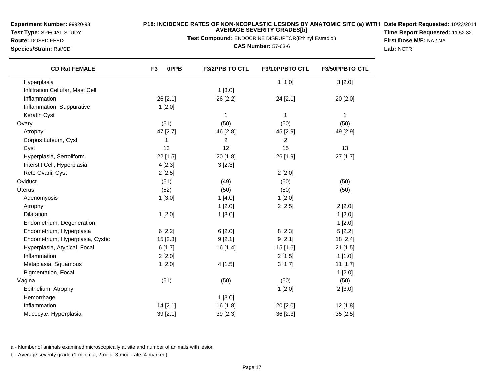**Test Type:** SPECIAL STUDY**Route:** DOSED FEED

# **P18: INCIDENCE RATES OF NON-NEOPLASTIC LESIONS BY ANATOMIC SITE (a) WITH AVERAGE SEVERITY GRADES[b] Date Report Requested:** 10/23/2014

**Test Compound:** ENDOCRINE DISRUPTOR(Ethinyl Estradiol)

**Species/Strain:** Rat/CD

 $\overline{\phantom{0}}$ 

**CAS Number:** 57-63-6

**Time Report Requested:** 11:52:32**First Dose M/F:** NA / NA**Lab:** NCTR

| <b>CD Rat FEMALE</b>             | F <sub>3</sub><br><b>OPPB</b> | F3/2PPB TO CTL | F3/10PPBTO CTL | F3/50PPBTO CTL |
|----------------------------------|-------------------------------|----------------|----------------|----------------|
| Hyperplasia                      |                               |                | 1[1.0]         | 3[2.0]         |
| Infiltration Cellular, Mast Cell |                               | 1[3.0]         |                |                |
| Inflammation                     | 26 [2.1]                      | 26 [2.2]       | 24 [2.1]       | 20 [2.0]       |
| Inflammation, Suppurative        | 1[2.0]                        |                |                |                |
| Keratin Cyst                     |                               | 1              | 1              | $\mathbf{1}$   |
| Ovary                            | (51)                          | (50)           | (50)           | (50)           |
| Atrophy                          | 47 [2.7]                      | 46 [2.8]       | 45 [2.9]       | 49 [2.9]       |
| Corpus Luteum, Cyst              | 1                             | 2              | 2              |                |
| Cyst                             | 13                            | 12             | 15             | 13             |
| Hyperplasia, Sertoliform         | 22 [1.5]                      | 20 [1.8]       | 26 [1.9]       | 27 [1.7]       |
| Interstit Cell, Hyperplasia      | 4[2.3]                        | 3[2.3]         |                |                |
| Rete Ovarii, Cyst                | 2[2.5]                        |                | 2[2.0]         |                |
| Oviduct                          | (51)                          | (49)           | (50)           | (50)           |
| Uterus                           | (52)                          | (50)           | (50)           | (50)           |
| Adenomyosis                      | 1[3.0]                        | 1[4.0]         | 1[2.0]         |                |
| Atrophy                          |                               | 1[2.0]         | 2[2.5]         | 2[2.0]         |
| Dilatation                       | 1[2.0]                        | 1[3.0]         |                | 1[2.0]         |
| Endometrium, Degeneration        |                               |                |                | 1[2.0]         |
| Endometrium, Hyperplasia         | 6[2.2]                        | 6[2.0]         | 8[2.3]         | 5[2.2]         |
| Endometrium, Hyperplasia, Cystic | 15 [2.3]                      | 9[2.1]         | 9[2.1]         | 18 [2.4]       |
| Hyperplasia, Atypical, Focal     | 6[1.7]                        | 16 [1.4]       | 15 [1.6]       | $21$ [1.5]     |
| Inflammation                     | 2[2.0]                        |                | 2[1.5]         | 1[1.0]         |
| Metaplasia, Squamous             | 1[2.0]                        | 4[1.5]         | 3[1.7]         | 11 [1.7]       |
| Pigmentation, Focal              |                               |                |                | 1[2.0]         |
| Vagina                           | (51)                          | (50)           | (50)           | (50)           |
| Epithelium, Atrophy              |                               |                | 1[2.0]         | 2[3.0]         |
| Hemorrhage                       |                               | 1[3.0]         |                |                |
| Inflammation                     | 14 [2.1]                      | 16 [1.8]       | 20 [2.0]       | 12 [1.8]       |
| Mucocyte, Hyperplasia            | 39 [2.1]                      | 39 [2.3]       | 36 [2.3]       | 35 [2.5]       |

a - Number of animals examined microscopically at site and number of animals with lesion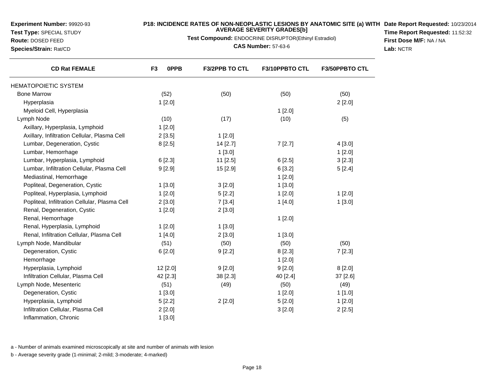**Test Type:** SPECIAL STUDY**Route:** DOSED FEED

**Species/Strain:** Rat/CD

 $\overline{\phantom{a}}$ 

# **P18: INCIDENCE RATES OF NON-NEOPLASTIC LESIONS BY ANATOMIC SITE (a) WITH AVERAGE SEVERITY GRADES[b] Date Report Requested:** 10/23/2014

**Test Compound:** ENDOCRINE DISRUPTOR(Ethinyl Estradiol)

**CAS Number:** 57-63-6

**Time Report Requested:** 11:52:32**First Dose M/F:** NA / NA**Lab:** NCTR

| <b>CD Rat FEMALE</b>                          | <b>OPPB</b><br>F <sub>3</sub> | <b>F3/2PPB TO CTL</b> | <b>F3/10PPBTO CTL</b> | <b>F3/50PPBTO CTL</b> |
|-----------------------------------------------|-------------------------------|-----------------------|-----------------------|-----------------------|
| <b>HEMATOPOIETIC SYSTEM</b>                   |                               |                       |                       |                       |
| <b>Bone Marrow</b>                            | (52)                          | (50)                  | (50)                  | (50)                  |
| Hyperplasia                                   | 1[2.0]                        |                       |                       | 2[2.0]                |
| Myeloid Cell, Hyperplasia                     |                               |                       | 1[2.0]                |                       |
| Lymph Node                                    | (10)                          | (17)                  | (10)                  | (5)                   |
| Axillary, Hyperplasia, Lymphoid               | 1[2.0]                        |                       |                       |                       |
| Axillary, Infiltration Cellular, Plasma Cell  | 2[3.5]                        | 1[2.0]                |                       |                       |
| Lumbar, Degeneration, Cystic                  | 8[2.5]                        | 14 [2.7]              | 7[2.7]                | 4[3.0]                |
| Lumbar, Hemorrhage                            |                               | 1[3.0]                |                       | 1[2.0]                |
| Lumbar, Hyperplasia, Lymphoid                 | 6[2.3]                        | $11$ [2.5]            | 6[2.5]                | 3[2.3]                |
| Lumbar, Infiltration Cellular, Plasma Cell    | 9[2.9]                        | 15 [2.9]              | 6[3.2]                | 5[2.4]                |
| Mediastinal, Hemorrhage                       |                               |                       | 1[2.0]                |                       |
| Popliteal, Degeneration, Cystic               | 1[3.0]                        | 3[2.0]                | 1[3.0]                |                       |
| Popliteal, Hyperplasia, Lymphoid              | 1[2.0]                        | 5[2.2]                | 1[2.0]                | 1[2.0]                |
| Popliteal, Infiltration Cellular, Plasma Cell | 2 [3.0]                       | 7[3.4]                | 1[4.0]                | 1[3.0]                |
| Renal, Degeneration, Cystic                   | 1[2.0]                        | 2[3.0]                |                       |                       |
| Renal, Hemorrhage                             |                               |                       | 1[2.0]                |                       |
| Renal, Hyperplasia, Lymphoid                  | 1 [2.0]                       | 1 [3.0]               |                       |                       |
| Renal, Infiltration Cellular, Plasma Cell     | 1[4.0]                        | 2[3.0]                | 1[3.0]                |                       |
| Lymph Node, Mandibular                        | (51)                          | (50)                  | (50)                  | (50)                  |
| Degeneration, Cystic                          | 6[2.0]                        | 9[2.2]                | 8[2.3]                | 7[2.3]                |
| Hemorrhage                                    |                               |                       | 1[2.0]                |                       |
| Hyperplasia, Lymphoid                         | 12 [2.0]                      | 9[2.0]                | 9[2.0]                | 8[2.0]                |
| Infiltration Cellular, Plasma Cell            | 42 [2.3]                      | 38 [2.3]              | 40 [2.4]              | 37 [2.6]              |
| Lymph Node, Mesenteric                        | (51)                          | (49)                  | (50)                  | (49)                  |
| Degeneration, Cystic                          | 1[3.0]                        |                       | $1$ [2.0]             | 1[1.0]                |
| Hyperplasia, Lymphoid                         | 5[2.2]                        | 2[2.0]                | 5[2.0]                | 1[2.0]                |
| Infiltration Cellular, Plasma Cell            | 2[2.0]                        |                       | 3[2.0]                | 2[2.5]                |
| Inflammation, Chronic                         | 1[3.0]                        |                       |                       |                       |

a - Number of animals examined microscopically at site and number of animals with lesion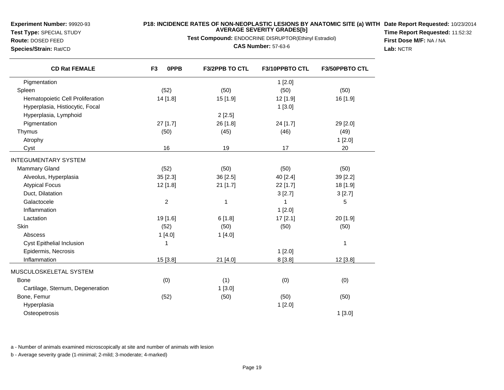**Test Type:** SPECIAL STUDY**Route:** DOSED FEED

# **P18: INCIDENCE RATES OF NON-NEOPLASTIC LESIONS BY ANATOMIC SITE (a) WITH AVERAGE SEVERITY GRADES[b] Date Report Requested:** 10/23/2014

**Test Compound:** ENDOCRINE DISRUPTOR(Ethinyl Estradiol)

**Species/Strain:** Rat/CD

**CAS Number:** 57-63-6

**Time Report Requested:** 11:52:32**First Dose M/F:** NA / NA**Lab:** NCTR

| <b>CD Rat FEMALE</b>             | 0PPB<br>F <sub>3</sub> | F3/2PPB TO CTL | F3/10PPBTO CTL | F3/50PPBTO CTL |
|----------------------------------|------------------------|----------------|----------------|----------------|
| Pigmentation                     |                        |                | 1[2.0]         |                |
| Spleen                           | (52)                   | (50)           | (50)           | (50)           |
| Hematopoietic Cell Proliferation | 14 [1.8]               | 15 [1.9]       | 12 [1.9]       | 16 [1.9]       |
| Hyperplasia, Histiocytic, Focal  |                        |                | 1[3.0]         |                |
| Hyperplasia, Lymphoid            |                        | 2[2.5]         |                |                |
| Pigmentation                     | 27 [1.7]               | 26 [1.8]       | 24 [1.7]       | 29 [2.0]       |
| Thymus                           | (50)                   | (45)           | (46)           | (49)           |
| Atrophy                          |                        |                |                | 1[2.0]         |
| Cyst                             | 16                     | 19             | 17             | 20             |
| <b>INTEGUMENTARY SYSTEM</b>      |                        |                |                |                |
| <b>Mammary Gland</b>             | (52)                   | (50)           | (50)           | (50)           |
| Alveolus, Hyperplasia            | 35 [2.3]               | 36 [2.5]       | 40 [2.4]       | 39 [2.2]       |
| <b>Atypical Focus</b>            | 12 [1.8]               | 21 [1.7]       | 22 [1.7]       | 18 [1.9]       |
| Duct, Dilatation                 |                        |                | 3[2.7]         | 3[2.7]         |
| Galactocele                      | 2                      | 1              |                | 5              |
| Inflammation                     |                        |                | 1[2.0]         |                |
| Lactation                        | 19 [1.6]               | 6[1.8]         | 17[2.1]        | 20 [1.9]       |
| Skin                             | (52)                   | (50)           | (50)           | (50)           |
| Abscess                          | 1[4.0]                 | 1[4.0]         |                |                |
| Cyst Epithelial Inclusion        | 1                      |                |                | 1              |
| Epidermis, Necrosis              |                        |                | 1[2.0]         |                |
| Inflammation                     | 15 [3.8]               | 21 [4.0]       | 8[3.8]         | 12 [3.8]       |
| MUSCULOSKELETAL SYSTEM           |                        |                |                |                |
| <b>Bone</b>                      | (0)                    | (1)            | (0)            | (0)            |
| Cartilage, Sternum, Degeneration |                        | 1[3.0]         |                |                |
| Bone, Femur                      | (52)                   | (50)           | (50)           | (50)           |
| Hyperplasia                      |                        |                | 1[2.0]         |                |
| Osteopetrosis                    |                        |                |                | 1[3.0]         |

a - Number of animals examined microscopically at site and number of animals with lesion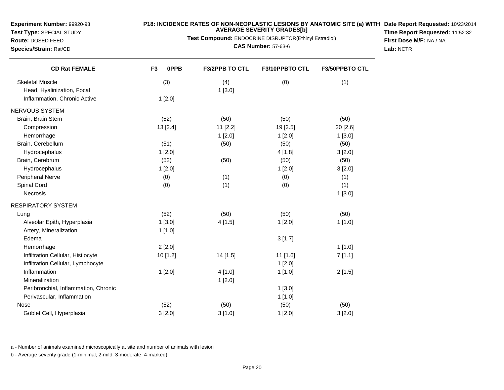**Test Type:** SPECIAL STUDY

# **Route:** DOSED FEED

**Species/Strain:** Rat/CD

# **P18: INCIDENCE RATES OF NON-NEOPLASTIC LESIONS BY ANATOMIC SITE (a) WITH AVERAGE SEVERITY GRADES[b] Date Report Requested:** 10/23/2014

**Test Compound:** ENDOCRINE DISRUPTOR(Ethinyl Estradiol)

# **CAS Number:** 57-63-6

**Time Report Requested:** 11:52:32**First Dose M/F:** NA / NA**Lab:** NCTR

| <b>CD Rat FEMALE</b>                 | F <sub>3</sub><br>0PPB | <b>F3/2PPB TO CTL</b> | F3/10PPBTO CTL | <b>F3/50PPBTO CTL</b> |
|--------------------------------------|------------------------|-----------------------|----------------|-----------------------|
| <b>Skeletal Muscle</b>               | (3)                    | (4)                   | (0)            | (1)                   |
| Head, Hyalinization, Focal           |                        | 1[3.0]                |                |                       |
| Inflammation, Chronic Active         | 1[2.0]                 |                       |                |                       |
| NERVOUS SYSTEM                       |                        |                       |                |                       |
| Brain, Brain Stem                    | (52)                   | (50)                  | (50)           | (50)                  |
| Compression                          | 13 [2.4]               | 11 [2.2]              | 19 [2.5]       | 20 [2.6]              |
| Hemorrhage                           |                        | 1[2.0]                | 1[2.0]         | 1[3.0]                |
| Brain, Cerebellum                    | (51)                   | (50)                  | (50)           | (50)                  |
| Hydrocephalus                        | 1[2.0]                 |                       | 4[1.8]         | 3[2.0]                |
| Brain, Cerebrum                      | (52)                   | (50)                  | (50)           | (50)                  |
| Hydrocephalus                        | 1[2.0]                 |                       | 1[2.0]         | 3[2.0]                |
| <b>Peripheral Nerve</b>              | (0)                    | (1)                   | (0)            | (1)                   |
| Spinal Cord                          | (0)                    | (1)                   | (0)            | (1)                   |
| Necrosis                             |                        |                       |                | 1[3.0]                |
| <b>RESPIRATORY SYSTEM</b>            |                        |                       |                |                       |
| Lung                                 | (52)                   | (50)                  | (50)           | (50)                  |
| Alveolar Epith, Hyperplasia          | 1[3.0]                 | 4[1.5]                | 1[2.0]         | 1[1.0]                |
| Artery, Mineralization               | 1[1.0]                 |                       |                |                       |
| Edema                                |                        |                       | 3[1.7]         |                       |
| Hemorrhage                           | 2[2.0]                 |                       |                | 1[1.0]                |
| Infiltration Cellular, Histiocyte    | 10 [1.2]               | 14 [1.5]              | 11 [1.6]       | 7[1.1]                |
| Infiltration Cellular, Lymphocyte    |                        |                       | 1[2.0]         |                       |
| Inflammation                         | 1[2.0]                 | 4[1.0]                | 1[1.0]         | 2[1.5]                |
| Mineralization                       |                        | 1[2.0]                |                |                       |
| Peribronchial, Inflammation, Chronic |                        |                       | 1[3.0]         |                       |
| Perivascular, Inflammation           |                        |                       | 1[1.0]         |                       |
| <b>Nose</b>                          | (52)                   | (50)                  | (50)           | (50)                  |
| Goblet Cell, Hyperplasia             | 3[2.0]                 | 3[1.0]                | 1[2.0]         | 3[2.0]                |

a - Number of animals examined microscopically at site and number of animals with lesion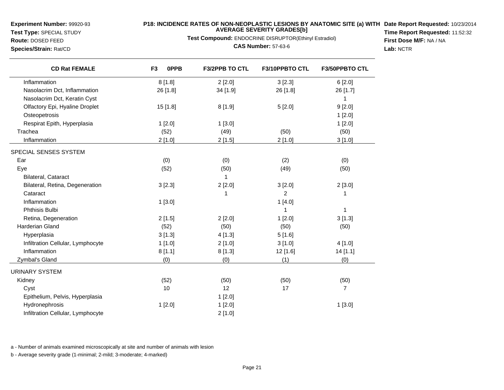**Test Type:** SPECIAL STUDY**Route:** DOSED FEED

**Species/Strain:** Rat/CD

# **P18: INCIDENCE RATES OF NON-NEOPLASTIC LESIONS BY ANATOMIC SITE (a) WITH AVERAGE SEVERITY GRADES[b] Date Report Requested:** 10/23/2014

**Test Compound:** ENDOCRINE DISRUPTOR(Ethinyl Estradiol)

**CAS Number:** 57-63-6

**Time Report Requested:** 11:52:32**First Dose M/F:** NA / NA**Lab:** NCTR

| <b>CD Rat FEMALE</b>              | F <sub>3</sub><br>0PPB | <b>F3/2PPB TO CTL</b> | F3/10PPBTO CTL | <b>F3/50PPBTO CTL</b> |
|-----------------------------------|------------------------|-----------------------|----------------|-----------------------|
| Inflammation                      | 8[1.8]                 | 2[2.0]                | 3[2.3]         | 6[2.0]                |
| Nasolacrim Dct, Inflammation      | 26 [1.8]               | 34 [1.9]              | 26 [1.8]       | 26 [1.7]              |
| Nasolacrim Dct, Keratin Cyst      |                        |                       |                | 1                     |
| Olfactory Epi, Hyaline Droplet    | 15 [1.8]               | 8[1.9]                | 5[2.0]         | 9[2.0]                |
| Osteopetrosis                     |                        |                       |                | 1[2.0]                |
| Respirat Epith, Hyperplasia       | 1[2.0]                 | 1[3.0]                |                | 1[2.0]                |
| Trachea                           | (52)                   | (49)                  | (50)           | (50)                  |
| Inflammation                      | 2[1.0]                 | 2[1.5]                | 2[1.0]         | 3[1.0]                |
| SPECIAL SENSES SYSTEM             |                        |                       |                |                       |
| Ear                               | (0)                    | (0)                   | (2)            | (0)                   |
| Eye                               | (52)                   | (50)                  | (49)           | (50)                  |
| <b>Bilateral, Cataract</b>        |                        |                       |                |                       |
| Bilateral, Retina, Degeneration   | 3[2.3]                 | 2[2.0]                | 3[2.0]         | 2[3.0]                |
| Cataract                          |                        | 1                     | $\overline{2}$ | 1                     |
| Inflammation                      | 1[3.0]                 |                       | 1[4.0]         |                       |
| Phthisis Bulbi                    |                        |                       | 1              | 1                     |
| Retina, Degeneration              | 2[1.5]                 | 2[2.0]                | 1[2.0]         | 3[1.3]                |
| <b>Harderian Gland</b>            | (52)                   | (50)                  | (50)           | (50)                  |
| Hyperplasia                       | 3[1.3]                 | 4[1.3]                | 5[1.6]         |                       |
| Infiltration Cellular, Lymphocyte | 1[1.0]                 | 2[1.0]                | 3[1.0]         | 4[1.0]                |
| Inflammation                      | 8[1.1]                 | 8[1.3]                | 12 [1.6]       | 14 [1.1]              |
| Zymbal's Gland                    | (0)                    | (0)                   | (1)            | (0)                   |
| <b>URINARY SYSTEM</b>             |                        |                       |                |                       |
| Kidney                            | (52)                   | (50)                  | (50)           | (50)                  |
| Cyst                              | 10                     | 12                    | 17             | $\overline{7}$        |
| Epithelium, Pelvis, Hyperplasia   |                        | 1[2.0]                |                |                       |
| Hydronephrosis                    | 1[2.0]                 | 1[2.0]                |                | 1[3.0]                |
| Infiltration Cellular, Lymphocyte |                        | 2[1.0]                |                |                       |

a - Number of animals examined microscopically at site and number of animals with lesion